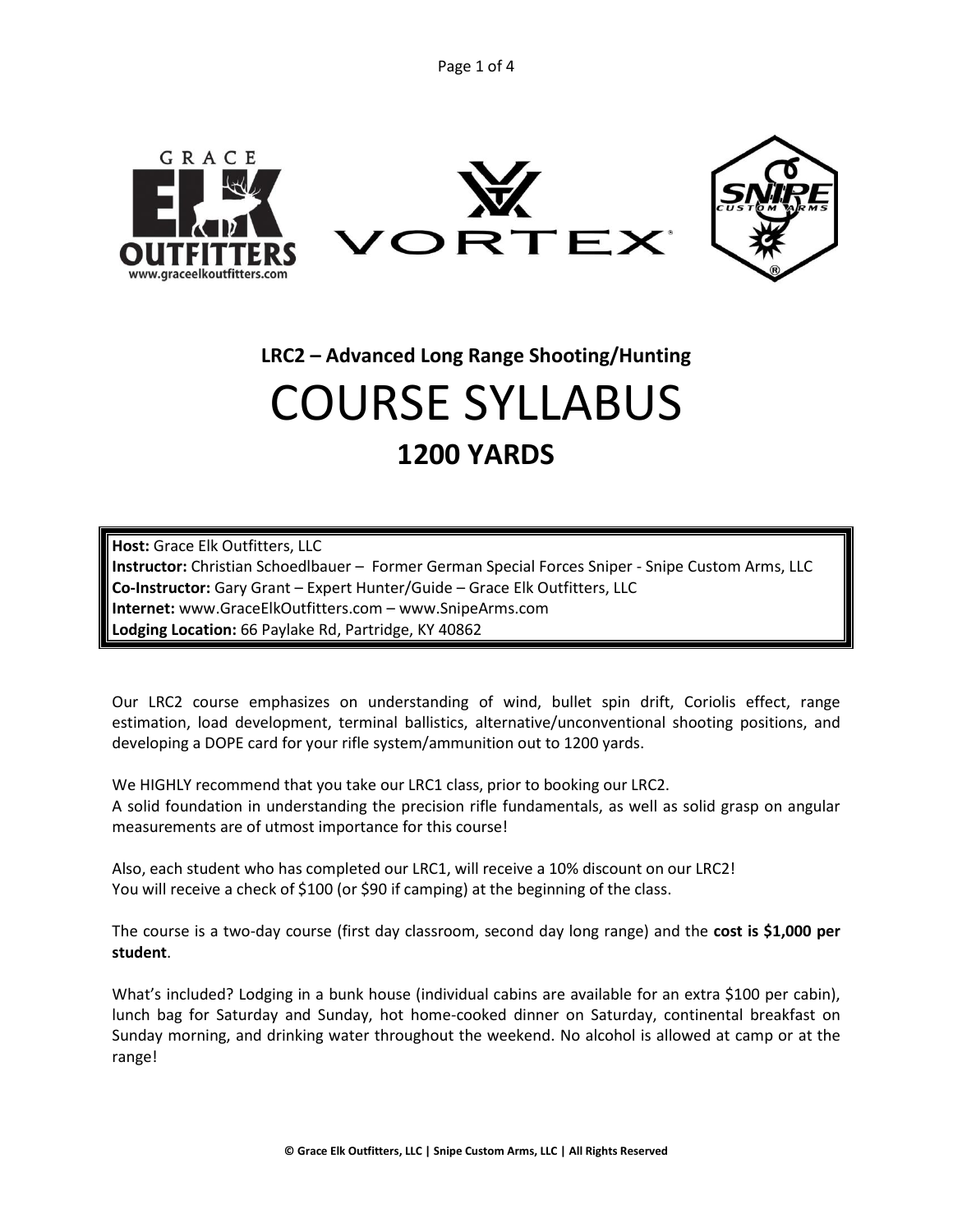Page 1 of 4



**LRC2 – Advanced Long Range Shooting/Hunting**

# COURSE SYLLABUS **1200 YARDS**

**Host:** Grace Elk Outfitters, LLC **Instructor:** Christian Schoedlbauer – Former German Special Forces Sniper - Snipe Custom Arms, LLC **Co-Instructor:** Gary Grant – Expert Hunter/Guide – Grace Elk Outfitters, LLC **Internet:** www.GraceElkOutfitters.com – www.SnipeArms.com **Lodging Location:** 66 Paylake Rd, Partridge, KY 40862

Our LRC2 course emphasizes on understanding of wind, bullet spin drift, Coriolis effect, range estimation, load development, terminal ballistics, alternative/unconventional shooting positions, and developing a DOPE card for your rifle system/ammunition out to 1200 yards.

We HIGHLY recommend that you take our LRC1 class, prior to booking our LRC2. A solid foundation in understanding the precision rifle fundamentals, as well as solid grasp on angular measurements are of utmost importance for this course!

Also, each student who has completed our LRC1, will receive a 10% discount on our LRC2! You will receive a check of \$100 (or \$90 if camping) at the beginning of the class.

The course is a two-day course (first day classroom, second day long range) and the **cost is \$1,000 per student**.

What's included? Lodging in a bunk house (individual cabins are available for an extra \$100 per cabin), lunch bag for Saturday and Sunday, hot home-cooked dinner on Saturday, continental breakfast on Sunday morning, and drinking water throughout the weekend. No alcohol is allowed at camp or at the range!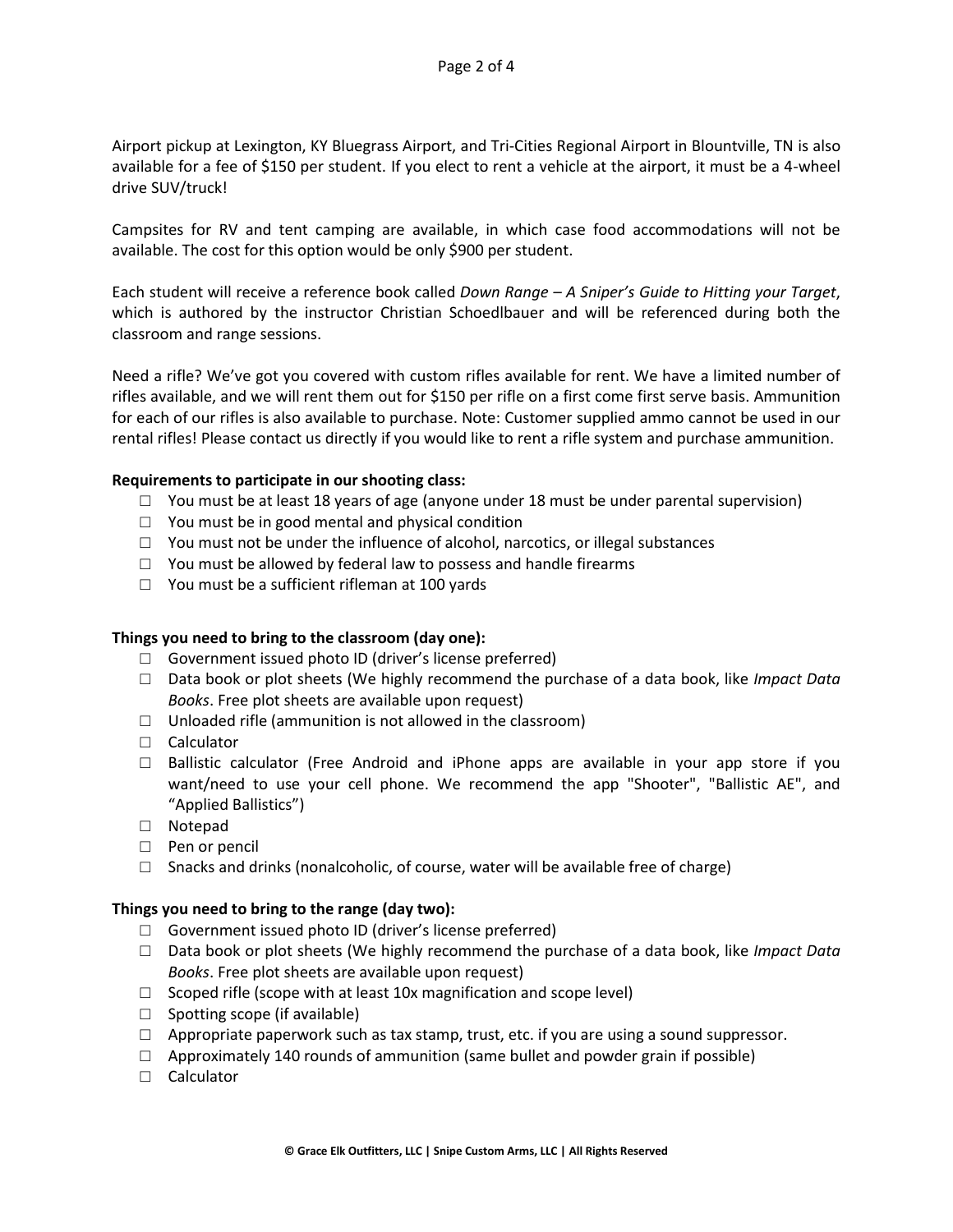Airport pickup at Lexington, KY Bluegrass Airport, and Tri-Cities Regional Airport in Blountville, TN is also available for a fee of \$150 per student. If you elect to rent a vehicle at the airport, it must be a 4-wheel drive SUV/truck!

Campsites for RV and tent camping are available, in which case food accommodations will not be available. The cost for this option would be only \$900 per student.

Each student will receive a reference book called *Down Range – A Sniper's Guide to Hitting your Target*, which is authored by the instructor Christian Schoedlbauer and will be referenced during both the classroom and range sessions.

Need a rifle? We've got you covered with custom rifles available for rent. We have a limited number of rifles available, and we will rent them out for \$150 per rifle on a first come first serve basis. Ammunition for each of our rifles is also available to purchase. Note: Customer supplied ammo cannot be used in our rental rifles! Please contact us directly if you would like to rent a rifle system and purchase ammunition.

### **Requirements to participate in our shooting class:**

- $\Box$  You must be at least 18 years of age (anyone under 18 must be under parental supervision)
- □ You must be in good mental and physical condition
- □ You must not be under the influence of alcohol, narcotics, or illegal substances
- $\Box$  You must be allowed by federal law to possess and handle firearms
- $\Box$  You must be a sufficient rifleman at 100 yards

#### **Things you need to bring to the classroom (day one):**

- □ Government issued photo ID (driver's license preferred)
- □ Data book or plot sheets (We highly recommend the purchase of a data book, like *Impact Data Books*. Free plot sheets are available upon request)
- $\Box$  Unloaded rifle (ammunition is not allowed in the classroom)
- □ Calculator
- $\square$  Ballistic calculator (Free Android and iPhone apps are available in your app store if you want/need to use your cell phone. We recommend the app "Shooter", "Ballistic AE", and "Applied Ballistics")
- □ Notepad
- □ Pen or pencil
- $\square$  Snacks and drinks (nonalcoholic, of course, water will be available free of charge)

#### **Things you need to bring to the range (day two):**

- □ Government issued photo ID (driver's license preferred)
- □ Data book or plot sheets (We highly recommend the purchase of a data book, like *Impact Data Books*. Free plot sheets are available upon request)
- $\Box$  Scoped rifle (scope with at least 10x magnification and scope level)
- $\Box$  Spotting scope (if available)
- $\Box$  Appropriate paperwork such as tax stamp, trust, etc. if you are using a sound suppressor.
- $\Box$  Approximately 140 rounds of ammunition (same bullet and powder grain if possible)
- □ Calculator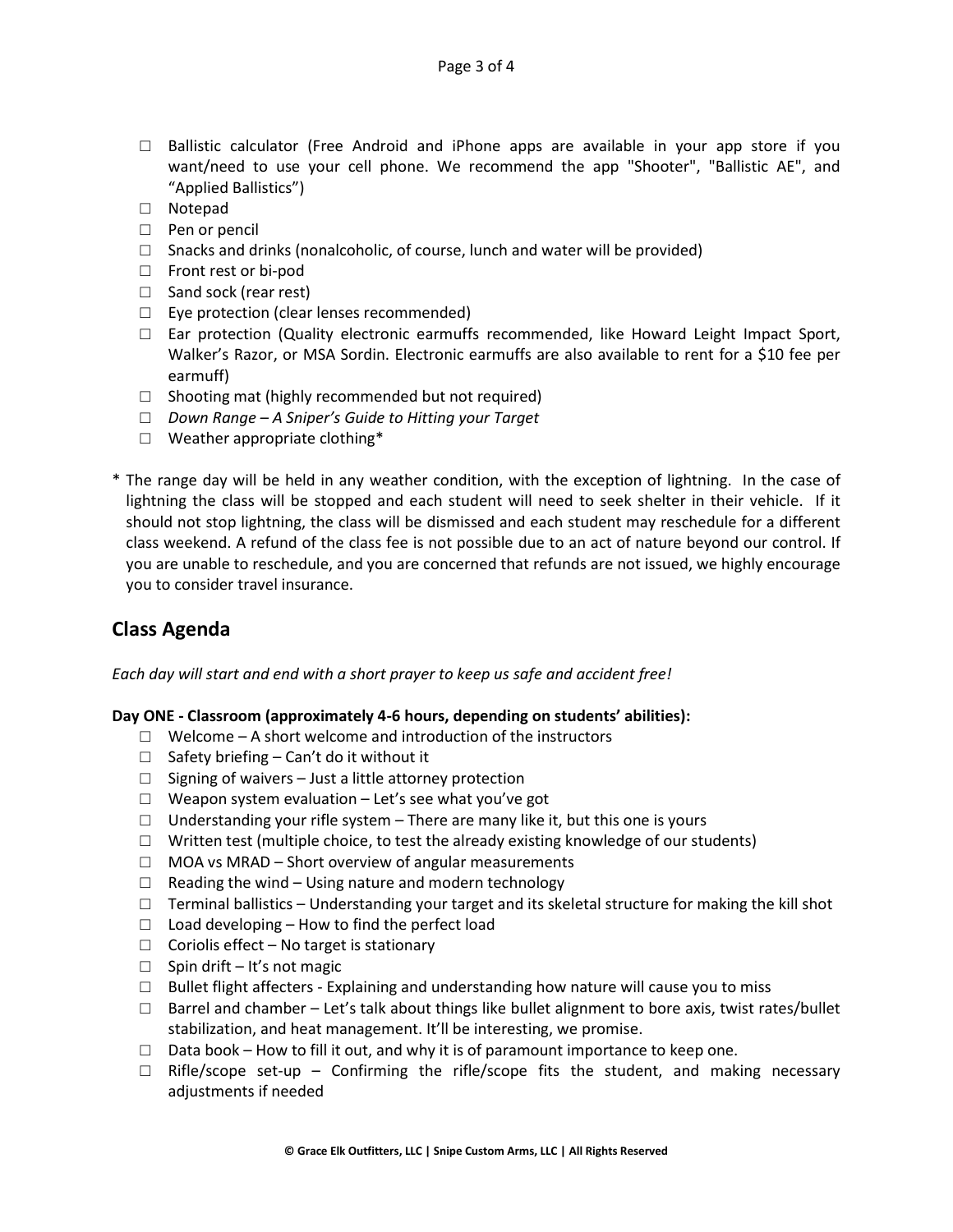- $\square$  Ballistic calculator (Free Android and iPhone apps are available in your app store if you want/need to use your cell phone. We recommend the app "Shooter", "Ballistic AE", and "Applied Ballistics")
- □ Notepad
- □ Pen or pencil
- $\square$  Snacks and drinks (nonalcoholic, of course, lunch and water will be provided)
- □ Front rest or bi-pod
- □ Sand sock (rear rest)
- $\Box$  Eye protection (clear lenses recommended)
- $\Box$  Ear protection (Quality electronic earmuffs recommended, like Howard Leight Impact Sport, Walker's Razor, or MSA Sordin. Electronic earmuffs are also available to rent for a \$10 fee per earmuff)
- $\Box$  Shooting mat (highly recommended but not required)
- □ *Down Range – A Sniper's Guide to Hitting your Target*
- □ Weather appropriate clothing\*
- \* The range day will be held in any weather condition, with the exception of lightning. In the case of lightning the class will be stopped and each student will need to seek shelter in their vehicle. If it should not stop lightning, the class will be dismissed and each student may reschedule for a different class weekend. A refund of the class fee is not possible due to an act of nature beyond our control. If you are unable to reschedule, and you are concerned that refunds are not issued, we highly encourage you to consider travel insurance.

# **Class Agenda**

*Each day will start and end with a short prayer to keep us safe and accident free!*

# **Day ONE - Classroom (approximately 4-6 hours, depending on students' abilities):**

- $\Box$  Welcome A short welcome and introduction of the instructors
- $\Box$  Safety briefing Can't do it without it
- □ Signing of waivers Just a little attorney protection
- $\Box$  Weapon system evaluation Let's see what you've got
- $\Box$  Understanding your rifle system There are many like it, but this one is yours
- $\Box$  Written test (multiple choice, to test the already existing knowledge of our students)
- $\Box$  MOA vs MRAD Short overview of angular measurements
- $\Box$  Reading the wind Using nature and modern technology
- $\Box$  Terminal ballistics Understanding your target and its skeletal structure for making the kill shot
- $\Box$  Load developing How to find the perfect load
- $\Box$  Coriolis effect No target is stationary
- $\Box$  Spin drift It's not magic
- $\Box$  Bullet flight affecters Explaining and understanding how nature will cause you to miss
- $\Box$  Barrel and chamber Let's talk about things like bullet alignment to bore axis, twist rates/bullet stabilization, and heat management. It'll be interesting, we promise.
- $\Box$  Data book How to fill it out, and why it is of paramount importance to keep one.
- $\Box$  Rifle/scope set-up Confirming the rifle/scope fits the student, and making necessary adjustments if needed